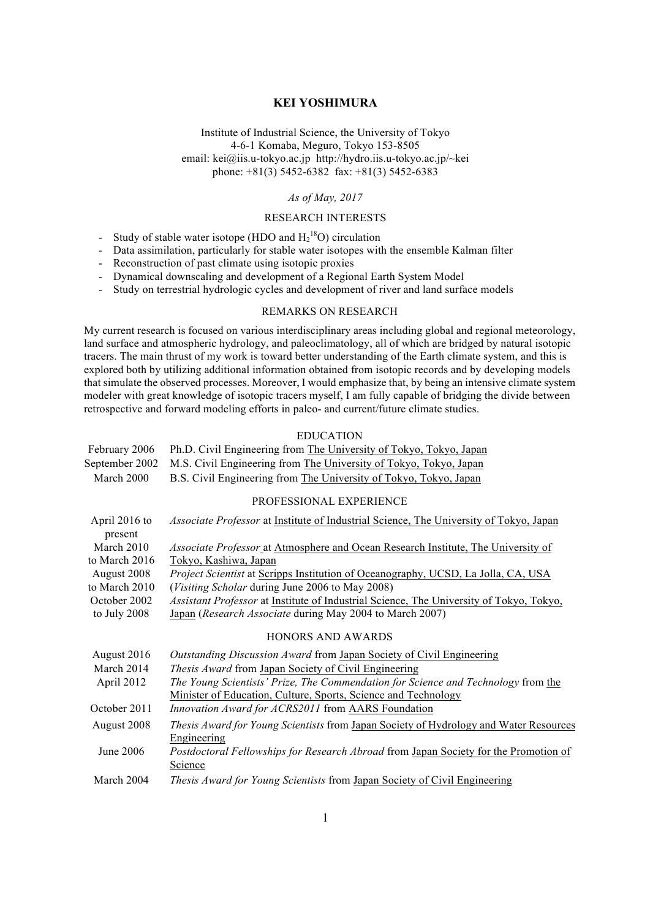Institute of Industrial Science, the University of Tokyo 4-6-1 Komaba, Meguro, Tokyo 153-8505 email: kei@iis.u-tokyo.ac.jp http://hydro.iis.u-tokyo.ac.jp/~kei phone: +81(3) 5452-6382 fax: +81(3) 5452-6383

# *As of May, 2017*

## RESEARCH INTERESTS

- Study of stable water isotope (HDO and  $H_2^{18}O$ ) circulation
- Data assimilation, particularly for stable water isotopes with the ensemble Kalman filter
- Reconstruction of past climate using isotopic proxies
- Dynamical downscaling and development of a Regional Earth System Model
- Study on terrestrial hydrologic cycles and development of river and land surface models

### REMARKS ON RESEARCH

My current research is focused on various interdisciplinary areas including global and regional meteorology, land surface and atmospheric hydrology, and paleoclimatology, all of which are bridged by natural isotopic tracers. The main thrust of my work is toward better understanding of the Earth climate system, and this is explored both by utilizing additional information obtained from isotopic records and by developing models that simulate the observed processes. Moreover, I would emphasize that, by being an intensive climate system modeler with great knowledge of isotopic tracers myself, I am fully capable of bridging the divide between retrospective and forward modeling efforts in paleo- and current/future climate studies.

## EDUCATION

|            | February 2006 Ph.D. Civil Engineering from The University of Tokyo, Tokyo, Japan |
|------------|----------------------------------------------------------------------------------|
|            | September 2002 M.S. Civil Engineering from The University of Tokyo, Tokyo, Japan |
| March 2000 | B.S. Civil Engineering from The University of Tokyo, Tokyo, Japan                |
|            | PROFESSIONAL EXPERIENCE                                                          |

#### April 2016 to present *Associate Professor* at Institute of Industrial Science, The University of Tokyo, Japan March 2010 to March 2016 *Associate Professor* at Atmosphere and Ocean Research Institute, The University of Tokyo, Kashiwa, Japan August 2008 to March 2010 *Project Scientist* at Scripps Institution of Oceanography, UCSD, La Jolla, CA, USA (*Visiting Scholar* during June 2006 to May 2008) October 2002 to July 2008 *Assistant Professor* at Institute of Industrial Science, The University of Tokyo, Tokyo, Japan (*Research Associate* during May 2004 to March 2007) HONORS AND AWARDS August 2016 *Outstanding Discussion Award* from Japan Society of Civil Engineering

| March 2014   | <i>Thesis Award</i> from Japan Society of Civil Engineering                                                 |
|--------------|-------------------------------------------------------------------------------------------------------------|
| April 2012   | The Young Scientists' Prize, The Commendation for Science and Technology from the                           |
|              | Minister of Education, Culture, Sports, Science and Technology                                              |
| October 2011 | Innovation Award for ACRS2011 from AARS Foundation                                                          |
| August 2008  | <i>Thesis Award for Young Scientists</i> from Japan Society of Hydrology and Water Resources<br>Engineering |
| June $2006$  | Postdoctoral Fellowships for Research Abroad from Japan Society for the Promotion of<br>Science             |
| March 2004   | Thesis Award for Young Scientists from Japan Society of Civil Engineering                                   |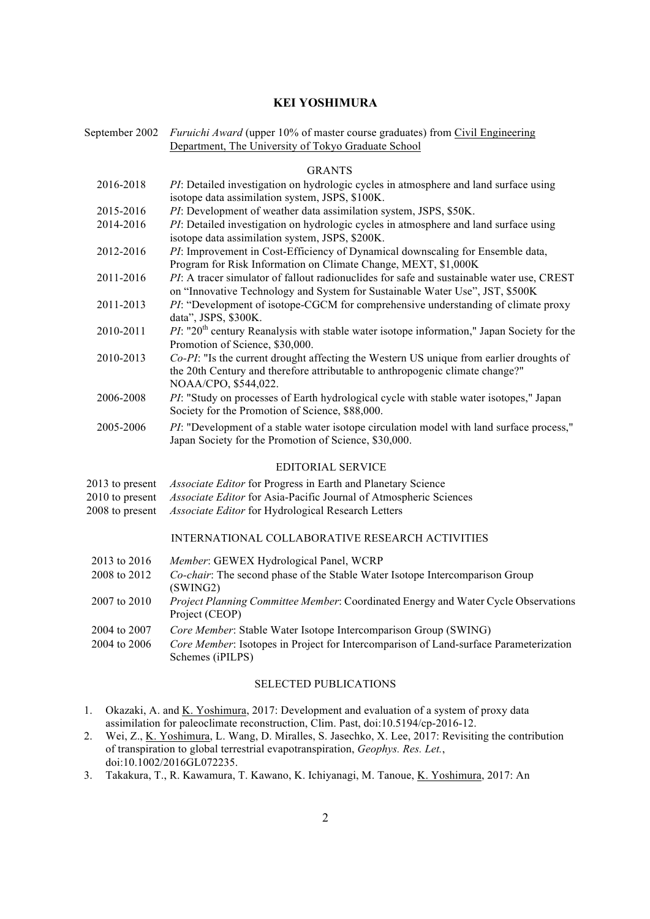September 2002 *Furuichi Award* (upper 10% of master course graduates) from Civil Engineering Department, The University of Tokyo Graduate School

## GRANTS

| 2016-2018       | PI: Detailed investigation on hydrologic cycles in atmosphere and land surface using                                                                                                             |
|-----------------|--------------------------------------------------------------------------------------------------------------------------------------------------------------------------------------------------|
|                 | isotope data assimilation system, JSPS, \$100K.                                                                                                                                                  |
| 2015-2016       | PI: Development of weather data assimilation system, JSPS, \$50K.                                                                                                                                |
| 2014-2016       | PI: Detailed investigation on hydrologic cycles in atmosphere and land surface using<br>isotope data assimilation system, JSPS, \$200K.                                                          |
| 2012-2016       | PI: Improvement in Cost-Efficiency of Dynamical downscaling for Ensemble data,<br>Program for Risk Information on Climate Change, MEXT, \$1,000K                                                 |
| 2011-2016       | PI: A tracer simulator of fallout radionuclides for safe and sustainable water use, CREST<br>on "Innovative Technology and System for Sustainable Water Use", JST, \$500K                        |
| 2011-2013       | PI: "Development of isotope-CGCM for comprehensive understanding of climate proxy<br>data", JSPS, \$300K.                                                                                        |
| 2010-2011       | $PI:$ "20 <sup>th</sup> century Reanalysis with stable water isotope information," Japan Society for the<br>Promotion of Science, \$30,000.                                                      |
| 2010-2013       | Co-PI: "Is the current drought affecting the Western US unique from earlier droughts of<br>the 20th Century and therefore attributable to anthropogenic climate change?"<br>NOAA/CPO, \$544,022. |
| 2006-2008       | PI: "Study on processes of Earth hydrological cycle with stable water isotopes," Japan<br>Society for the Promotion of Science, \$88,000.                                                        |
| 2005-2006       | <i>PI</i> : "Development of a stable water isotope circulation model with land surface process,"<br>Japan Society for the Promotion of Science, \$30,000.                                        |
|                 | <b>EDITORIAL SERVICE</b>                                                                                                                                                                         |
| 2013 to present | Associate Editor for Progress in Earth and Planetary Science                                                                                                                                     |
| 2010 to present | Associate Editor for Asia-Pacific Journal of Atmospheric Sciences                                                                                                                                |
| 2008 to present | Associate Editor for Hydrological Research Letters                                                                                                                                               |
|                 | INTERNATIONAL COLLABORATIVE RESEARCH ACTIVITIES                                                                                                                                                  |
|                 |                                                                                                                                                                                                  |

- 2013 to 2016 *Member*: GEWEX Hydrological Panel, WCRP
- 2008 to 2012 *Co-chair*: The second phase of the Stable Water Isotope Intercomparison Group (SWING2)
- 2007 to 2010 *Project Planning Committee Member*: Coordinated Energy and Water Cycle Observations Project (CEOP)
- 2004 to 2007 *Core Member*: Stable Water Isotope Intercomparison Group (SWING)
- 2004 to 2006 *Core Member*: Isotopes in Project for Intercomparison of Land-surface Parameterization Schemes (iPILPS)

## SELECTED PUBLICATIONS

- 1. Okazaki, A. and <u>K. Yoshimura</u>, 2017: Development and evaluation of a system of proxy data assimilation for paleoclimate reconstruction, Clim. Past, doi:10.5194/cp-2016-12.
- 2. Wei, Z., K. Yoshimura, L. Wang, D. Miralles, S. Jasechko, X. Lee, 2017: Revisiting the contribution of transpiration to global terrestrial evapotranspiration, *Geophys. Res. Let.*, doi:10.1002/2016GL072235.
- 3. Takakura, T., R. Kawamura, T. Kawano, K. Ichiyanagi, M. Tanoue, K. Yoshimura, 2017: An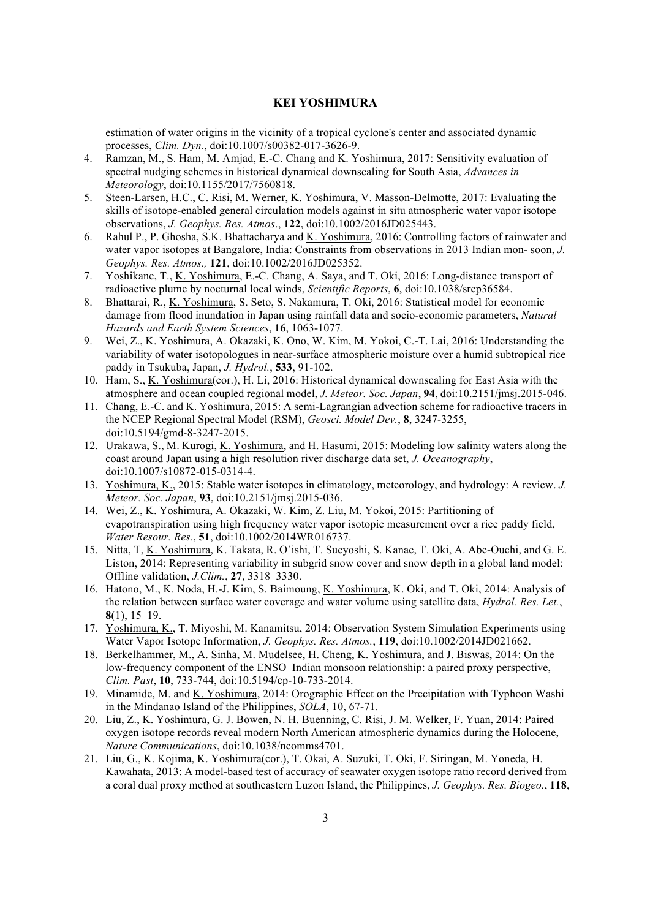estimation of water origins in the vicinity of a tropical cyclone's center and associated dynamic processes, *Clim. Dyn*., doi:10.1007/s00382-017-3626-9.

- 4. Ramzan, M., S. Ham, M. Amjad, E.-C. Chang and K. Yoshimura, 2017: Sensitivity evaluation of spectral nudging schemes in historical dynamical downscaling for South Asia, *Advances in Meteorology*, doi:10.1155/2017/7560818.
- 5. Steen-Larsen, H.C., C. Risi, M. Werner, K. Yoshimura, V. Masson-Delmotte, 2017: Evaluating the skills of isotope-enabled general circulation models against in situ atmospheric water vapor isotope observations, *J. Geophys. Res. Atmos*., **122**, doi:10.1002/2016JD025443.
- 6. Rahul P., P. Ghosha, S.K. Bhattacharya and K. Yoshimura, 2016: Controlling factors of rainwater and water vapor isotopes at Bangalore, India: Constraints from observations in 2013 Indian mon- soon, *J. Geophys. Res. Atmos.,* **121**, doi:10.1002/2016JD025352.
- 7. Yoshikane, T., K. Yoshimura, E.-C. Chang, A. Saya, and T. Oki, 2016: Long-distance transport of radioactive plume by nocturnal local winds, *Scientific Reports*, **6**, doi:10.1038/srep36584.
- 8. Bhattarai, R., K. Yoshimura, S. Seto, S. Nakamura, T. Oki, 2016: Statistical model for economic damage from flood inundation in Japan using rainfall data and socio-economic parameters, *Natural Hazards and Earth System Sciences*, **16**, 1063-1077.
- 9. Wei, Z., K. Yoshimura, A. Okazaki, K. Ono, W. Kim, M. Yokoi, C.-T. Lai, 2016: Understanding the variability of water isotopologues in near-surface atmospheric moisture over a humid subtropical rice paddy in Tsukuba, Japan, *J. Hydrol.*, **533**, 91-102.
- 10. Ham, S., K. Yoshimura(cor.), H. Li, 2016: Historical dynamical downscaling for East Asia with the atmosphere and ocean coupled regional model, *J. Meteor. Soc. Japan*, **94**, doi:10.2151/jmsj.2015-046.
- 11. Chang, E.-C. and K. Yoshimura, 2015: A semi-Lagrangian advection scheme for radioactive tracers in the NCEP Regional Spectral Model (RSM), *Geosci. Model Dev.*, **8**, 3247-3255, doi:10.5194/gmd-8-3247-2015.
- 12. Urakawa, S., M. Kurogi, K. Yoshimura, and H. Hasumi, 2015: Modeling low salinity waters along the coast around Japan using a high resolution river discharge data set, *J. Oceanography*, doi:10.1007/s10872-015-0314-4.
- 13. Yoshimura, K., 2015: Stable water isotopes in climatology, meteorology, and hydrology: A review. *J. Meteor. Soc. Japan*, **93**, doi:10.2151/jmsj.2015-036.
- 14. Wei, Z., K. Yoshimura, A. Okazaki, W. Kim, Z. Liu, M. Yokoi, 2015: Partitioning of evapotranspiration using high frequency water vapor isotopic measurement over a rice paddy field, *Water Resour. Res.*, **51**, doi:10.1002/2014WR016737.
- 15. Nitta, T, K. Yoshimura, K. Takata, R. O'ishi, T. Sueyoshi, S. Kanae, T. Oki, A. Abe-Ouchi, and G. E. Liston, 2014: Representing variability in subgrid snow cover and snow depth in a global land model: Offline validation, *J.Clim.*, **27**, 3318–3330.
- 16. Hatono, M., K. Noda, H.-J. Kim, S. Baimoung, K. Yoshimura, K. Oki, and T. Oki, 2014: Analysis of the relation between surface water coverage and water volume using satellite data, *Hydrol. Res. Let.*, **8**(1), 15–19.
- 17. Yoshimura, K., T. Miyoshi, M. Kanamitsu, 2014: Observation System Simulation Experiments using Water Vapor Isotope Information, *J. Geophys. Res. Atmos.*, **119**, doi:10.1002/2014JD021662.
- 18. Berkelhammer, M., A. Sinha, M. Mudelsee, H. Cheng, K. Yoshimura, and J. Biswas, 2014: On the low-frequency component of the ENSO–Indian monsoon relationship: a paired proxy perspective, *Clim. Past*, **10**, 733-744, doi:10.5194/cp-10-733-2014.
- 19. Minamide, M. and K. Yoshimura, 2014: Orographic Effect on the Precipitation with Typhoon Washi in the Mindanao Island of the Philippines, *SOLA*, 10, 67-71.
- 20. Liu, Z., K. Yoshimura, G. J. Bowen, N. H. Buenning, C. Risi, J. M. Welker, F. Yuan, 2014: Paired oxygen isotope records reveal modern North American atmospheric dynamics during the Holocene, *Nature Communications*, doi:10.1038/ncomms4701.
- 21. Liu, G., K. Kojima, K. Yoshimura(cor.), T. Okai, A. Suzuki, T. Oki, F. Siringan, M. Yoneda, H. Kawahata, 2013: A model-based test of accuracy of seawater oxygen isotope ratio record derived from a coral dual proxy method at southeastern Luzon Island, the Philippines, *J. Geophys. Res. Biogeo.*, **118**,